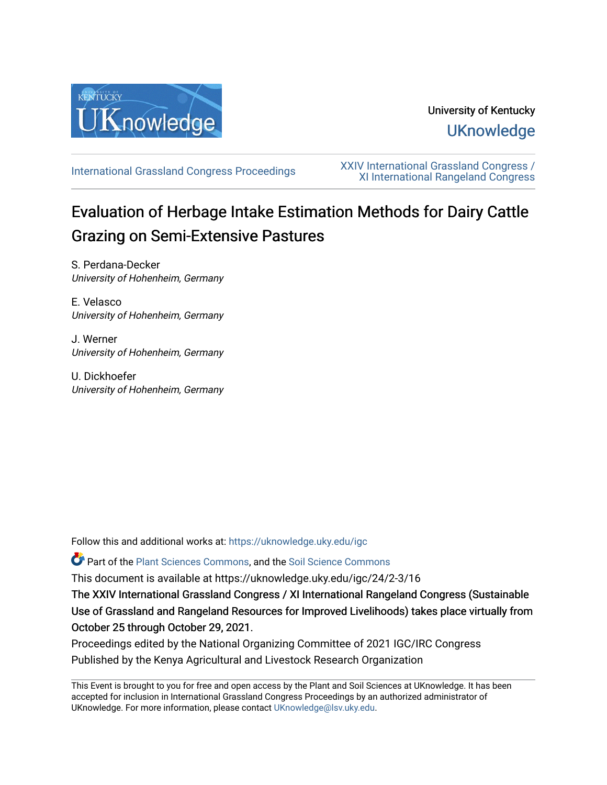

# University of Kentucky **UKnowledge**

[International Grassland Congress Proceedings](https://uknowledge.uky.edu/igc) [XXIV International Grassland Congress /](https://uknowledge.uky.edu/igc/24)  [XI International Rangeland Congress](https://uknowledge.uky.edu/igc/24) 

# Evaluation of Herbage Intake Estimation Methods for Dairy Cattle Grazing on Semi-Extensive Pastures

S. Perdana-Decker University of Hohenheim, Germany

E. Velasco University of Hohenheim, Germany

J. Werner University of Hohenheim, Germany

U. Dickhoefer University of Hohenheim, Germany

Follow this and additional works at: [https://uknowledge.uky.edu/igc](https://uknowledge.uky.edu/igc?utm_source=uknowledge.uky.edu%2Figc%2F24%2F2-3%2F16&utm_medium=PDF&utm_campaign=PDFCoverPages) 

Part of the [Plant Sciences Commons](http://network.bepress.com/hgg/discipline/102?utm_source=uknowledge.uky.edu%2Figc%2F24%2F2-3%2F16&utm_medium=PDF&utm_campaign=PDFCoverPages), and the [Soil Science Commons](http://network.bepress.com/hgg/discipline/163?utm_source=uknowledge.uky.edu%2Figc%2F24%2F2-3%2F16&utm_medium=PDF&utm_campaign=PDFCoverPages) 

This document is available at https://uknowledge.uky.edu/igc/24/2-3/16

The XXIV International Grassland Congress / XI International Rangeland Congress (Sustainable Use of Grassland and Rangeland Resources for Improved Livelihoods) takes place virtually from October 25 through October 29, 2021.

Proceedings edited by the National Organizing Committee of 2021 IGC/IRC Congress Published by the Kenya Agricultural and Livestock Research Organization

This Event is brought to you for free and open access by the Plant and Soil Sciences at UKnowledge. It has been accepted for inclusion in International Grassland Congress Proceedings by an authorized administrator of UKnowledge. For more information, please contact [UKnowledge@lsv.uky.edu](mailto:UKnowledge@lsv.uky.edu).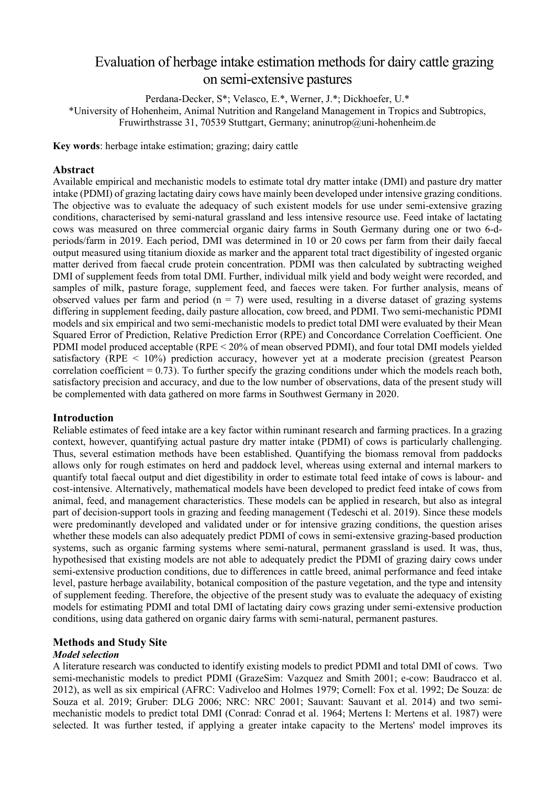# Evaluation of herbage intake estimation methods for dairy cattle grazing on semi-extensive pastures

Perdana-Decker, S\*; Velasco, E.\*, Werner, J.\*; Dickhoefer, U.\*

\*University of Hohenheim, Animal Nutrition and Rangeland Management in Tropics and Subtropics, Fruwirthstrasse 31, 70539 Stuttgart, Germany; aninutrop@uni-hohenheim.de

**Key words**: herbage intake estimation; grazing; dairy cattle

# **Abstract**

Available empirical and mechanistic models to estimate total dry matter intake (DMI) and pasture dry matter intake (PDMI) of grazing lactating dairy cows have mainly been developed under intensive grazing conditions. The objective was to evaluate the adequacy of such existent models for use under semi-extensive grazing conditions, characterised by semi-natural grassland and less intensive resource use. Feed intake of lactating cows was measured on three commercial organic dairy farms in South Germany during one or two 6-dperiods/farm in 2019. Each period, DMI was determined in 10 or 20 cows per farm from their daily faecal output measured using titanium dioxide as marker and the apparent total tract digestibility of ingested organic matter derived from faecal crude protein concentration. PDMI was then calculated by subtracting weighed DMI of supplement feeds from total DMI. Further, individual milk yield and body weight were recorded, and samples of milk, pasture forage, supplement feed, and faeces were taken. For further analysis, means of observed values per farm and period  $(n = 7)$  were used, resulting in a diverse dataset of grazing systems differing in supplement feeding, daily pasture allocation, cow breed, and PDMI. Two semi-mechanistic PDMI models and six empirical and two semi-mechanistic models to predict total DMI were evaluated by their Mean Squared Error of Prediction, Relative Prediction Error (RPE) and Concordance Correlation Coefficient. One PDMI model produced acceptable (RPE < 20% of mean observed PDMI), and four total DMI models yielded satisfactory (RPE < 10%) prediction accuracy, however yet at a moderate precision (greatest Pearson correlation coefficient  $= 0.73$ ). To further specify the grazing conditions under which the models reach both, satisfactory precision and accuracy, and due to the low number of observations, data of the present study will be complemented with data gathered on more farms in Southwest Germany in 2020.

# **Introduction**

Reliable estimates of feed intake are a key factor within ruminant research and farming practices. In a grazing context, however, quantifying actual pasture dry matter intake (PDMI) of cows is particularly challenging. Thus, several estimation methods have been established. Quantifying the biomass removal from paddocks allows only for rough estimates on herd and paddock level, whereas using external and internal markers to quantify total faecal output and diet digestibility in order to estimate total feed intake of cows is labour- and cost-intensive. Alternatively, mathematical models have been developed to predict feed intake of cows from animal, feed, and management characteristics. These models can be applied in research, but also as integral part of decision-support tools in grazing and feeding management (Tedeschi et al. 2019). Since these models were predominantly developed and validated under or for intensive grazing conditions, the question arises whether these models can also adequately predict PDMI of cows in semi-extensive grazing-based production systems, such as organic farming systems where semi-natural, permanent grassland is used. It was, thus, hypothesised that existing models are not able to adequately predict the PDMI of grazing dairy cows under semi-extensive production conditions, due to differences in cattle breed, animal performance and feed intake level, pasture herbage availability, botanical composition of the pasture vegetation, and the type and intensity of supplement feeding. Therefore, the objective of the present study was to evaluate the adequacy of existing models for estimating PDMI and total DMI of lactating dairy cows grazing under semi-extensive production conditions, using data gathered on organic dairy farms with semi-natural, permanent pastures.

# **Methods and Study Site**

# *Model selection*

A literature research was conducted to identify existing models to predict PDMI and total DMI of cows. Two semi-mechanistic models to predict PDMI (GrazeSim: Vazquez and Smith 2001; e-cow: Baudracco et al. 2012), as well as six empirical (AFRC: Vadiveloo and Holmes 1979; Cornell: Fox et al. 1992; De Souza: de Souza et al. 2019; Gruber: DLG 2006; NRC: NRC 2001; Sauvant: Sauvant et al. 2014) and two semimechanistic models to predict total DMI (Conrad: Conrad et al. 1964; Mertens I: Mertens et al. 1987) were selected. It was further tested, if applying a greater intake capacity to the Mertens' model improves its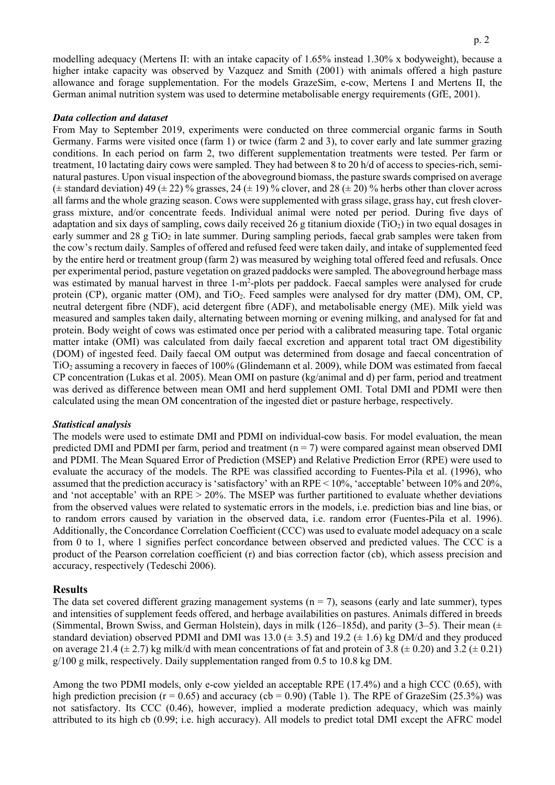modelling adequacy (Mertens II: with an intake capacity of 1.65% instead 1.30% x bodyweight), because a higher intake capacity was observed by Vazquez and Smith (2001) with animals offered a high pasture allowance and forage supplementation. For the models GrazeSim, e-cow, Mertens I and Mertens II, the German animal nutrition system was used to determine metabolisable energy requirements (GfE, 2001).

#### *Data collection and dataset*

From May to September 2019, experiments were conducted on three commercial organic farms in South Germany. Farms were visited once (farm 1) or twice (farm 2 and 3), to cover early and late summer grazing conditions. In each period on farm 2, two different supplementation treatments were tested. Per farm or treatment, 10 lactating dairy cows were sampled. They had between 8 to 20 h/d of access to species-rich, seminatural pastures. Upon visual inspection of the aboveground biomass, the pasture swards comprised on average ( $\pm$  standard deviation) 49 ( $\pm$  22) % grasses, 24 ( $\pm$  19) % clover, and 28 ( $\pm$  20) % herbs other than clover across all farms and the whole grazing season. Cows were supplemented with grass silage, grass hay, cut fresh clovergrass mixture, and/or concentrate feeds. Individual animal were noted per period. During five days of adaptation and six days of sampling, cows daily received 26 g titanium dioxide (TiO2) in two equal dosages in early summer and 28 g TiO<sub>2</sub> in late summer. During sampling periods, faecal grab samples were taken from the cow's rectum daily. Samples of offered and refused feed were taken daily, and intake of supplemented feed by the entire herd or treatment group (farm 2) was measured by weighing total offered feed and refusals. Once per experimental period, pasture vegetation on grazed paddocks were sampled. The aboveground herbage mass was estimated by manual harvest in three 1-m<sup>2</sup>-plots per paddock. Faecal samples were analysed for crude protein (CP), organic matter (OM), and TiO<sub>2</sub>. Feed samples were analysed for dry matter (DM), OM, CP, neutral detergent fibre (NDF), acid detergent fibre (ADF), and metabolisable energy (ME). Milk yield was measured and samples taken daily, alternating between morning or evening milking, and analysed for fat and protein. Body weight of cows was estimated once per period with a calibrated measuring tape. Total organic matter intake (OMI) was calculated from daily faecal excretion and apparent total tract OM digestibility (DOM) of ingested feed. Daily faecal OM output was determined from dosage and faecal concentration of TiO2 assuming a recovery in faeces of 100% (Glindemann et al. 2009), while DOM was estimated from faecal CP concentration (Lukas et al. 2005). Mean OMI on pasture (kg/animal and d) per farm, period and treatment was derived as difference between mean OMI and herd supplement OMI. Total DMI and PDMI were then calculated using the mean OM concentration of the ingested diet or pasture herbage, respectively.

#### *Statistical analysis*

The models were used to estimate DMI and PDMI on individual-cow basis. For model evaluation, the mean predicted DMI and PDMI per farm, period and treatment ( $n = 7$ ) were compared against mean observed DMI and PDMI. The Mean Squared Error of Prediction (MSEP) and Relative Prediction Error (RPE) were used to evaluate the accuracy of the models. The RPE was classified according to Fuentes-Pila et al. (1996), who assumed that the prediction accuracy is 'satisfactory' with an RPE < 10%, 'acceptable' between 10% and 20%, and 'not acceptable' with an RPE > 20%. The MSEP was further partitioned to evaluate whether deviations from the observed values were related to systematic errors in the models, i.e. prediction bias and line bias, or to random errors caused by variation in the observed data, i.e. random error (Fuentes-Pila et al. 1996). Additionally, the Concordance Correlation Coefficient (CCC) was used to evaluate model adequacy on a scale from 0 to 1, where 1 signifies perfect concordance between observed and predicted values. The CCC is a product of the Pearson correlation coefficient (r) and bias correction factor (cb), which assess precision and accuracy, respectively (Tedeschi 2006).

#### **Results**

The data set covered different grazing management systems  $(n = 7)$ , seasons (early and late summer), types and intensities of supplement feeds offered, and herbage availabilities on pastures. Animals differed in breeds (Simmental, Brown Swiss, and German Holstein), days in milk (126–185d), and parity (3–5). Their mean ( $\pm$ standard deviation) observed PDMI and DMI was 13.0 ( $\pm$  3.5) and 19.2 ( $\pm$  1.6) kg DM/d and they produced on average 21.4 ( $\pm$  2.7) kg milk/d with mean concentrations of fat and protein of 3.8 ( $\pm$  0.20) and 3.2 ( $\pm$  0.21) g/100 g milk, respectively. Daily supplementation ranged from 0.5 to 10.8 kg DM.

Among the two PDMI models, only e-cow yielded an acceptable RPE (17.4%) and a high CCC (0.65), with high prediction precision ( $r = 0.65$ ) and accuracy (cb = 0.90) (Table 1). The RPE of GrazeSim (25.3%) was not satisfactory. Its CCC (0.46), however, implied a moderate prediction adequacy, which was mainly attributed to its high cb (0.99; i.e. high accuracy). All models to predict total DMI except the AFRC model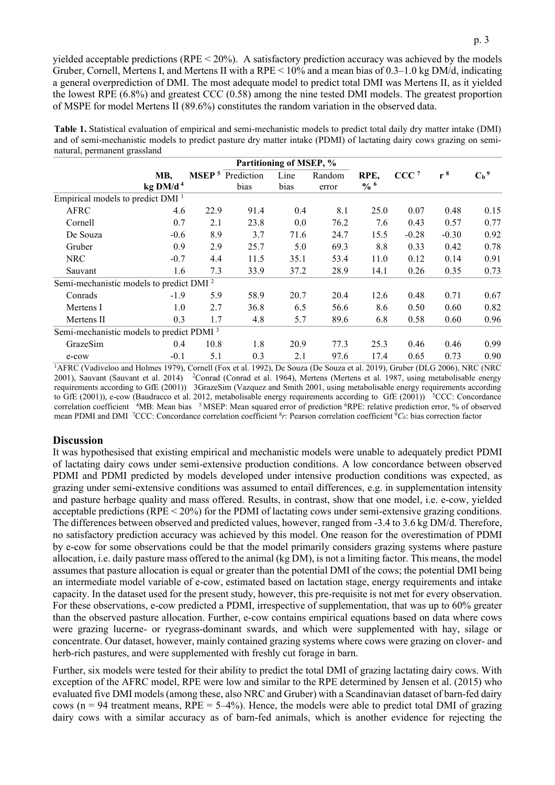yielded acceptable predictions ( $RPE < 20\%$ ). A satisfactory prediction accuracy was achieved by the models Gruber, Cornell, Mertens I, and Mertens II with a RPE  $\leq 10\%$  and a mean bias of 0.3–1.0 kg DM/d, indicating a general overprediction of DMI. The most adequate model to predict total DMI was Mertens II, as it yielded the lowest RPE (6.8%) and greatest CCC (0.58) among the nine tested DMI models. The greatest proportion of MSPE for model Mertens II (89.6%) constitutes the random variation in the observed data.

| Table 1. Statistical evaluation of empirical and semi-mechanistic models to predict total daily dry matter intake (DMI) |
|-------------------------------------------------------------------------------------------------------------------------|
| and of semi-mechanistic models to predict pasture dry matter intake (PDMI) of lactating dairy cows grazing on semi-     |
| natural, permanent grassland                                                                                            |

|                                                      |                               |                   | Partitioning of MSEP, % |              |                 |                         |                  |         |                    |
|------------------------------------------------------|-------------------------------|-------------------|-------------------------|--------------|-----------------|-------------------------|------------------|---------|--------------------|
|                                                      | MB,<br>$kg$ DM/d <sup>4</sup> | MSEP <sup>5</sup> | Prediction<br>bias      | Line<br>bias | Random<br>error | RPE,<br>$\frac{0}{6}$ 6 | CCC <sup>7</sup> | $r^8$   | $C_b$ <sup>9</sup> |
|                                                      |                               |                   |                         |              |                 |                         |                  |         |                    |
| Empirical models to predict $DMI1$                   |                               |                   |                         |              |                 |                         |                  |         |                    |
| <b>AFRC</b>                                          | 4.6                           | 22.9              | 91.4                    | 0.4          | 8.1             | 25.0                    | 0.07             | 0.48    | 0.15               |
| Cornell                                              | 0.7                           | 2.1               | 23.8                    | 0.0          | 76.2            | 7.6                     | 0.43             | 0.57    | 0.77               |
| De Souza                                             | $-0.6$                        | 8.9               | 3.7                     | 71.6         | 24.7            | 15.5                    | $-0.28$          | $-0.30$ | 0.92               |
| Gruber                                               | 0.9                           | 2.9               | 25.7                    | 5.0          | 69.3            | 8.8                     | 0.33             | 0.42    | 0.78               |
| <b>NRC</b>                                           | $-0.7$                        | 4.4               | 11.5                    | 35.1         | 53.4            | 11.0                    | 0.12             | 0.14    | 0.91               |
| Sauvant                                              | 1.6                           | 7.3               | 33.9                    | 37.2         | 28.9            | 14.1                    | 0.26             | 0.35    | 0.73               |
| Semi-mechanistic models to predict DMI <sup>2</sup>  |                               |                   |                         |              |                 |                         |                  |         |                    |
| Conrads                                              | $-1.9$                        | 5.9               | 58.9                    | 20.7         | 20.4            | 12.6                    | 0.48             | 0.71    | 0.67               |
| Mertens I                                            | 1.0                           | 2.7               | 36.8                    | 6.5          | 56.6            | 8.6                     | 0.50             | 0.60    | 0.82               |
| Mertens II                                           | 0.3                           | 1.7               | 4.8                     | 5.7          | 89.6            | 6.8                     | 0.58             | 0.60    | 0.96               |
| Semi-mechanistic models to predict PDMI <sup>3</sup> |                               |                   |                         |              |                 |                         |                  |         |                    |
| GrazeSim                                             | 0.4                           | 10.8              | 1.8                     | 20.9         | 77.3            | 25.3                    | 0.46             | 0.46    | 0.99               |
| e-cow                                                | $-0.1$                        | 5.1               | 0.3                     | 2.1          | 97.6            | 17.4                    | 0.65             | 0.73    | 0.90               |

1AFRC (Vadiveloo and Holmes 1979), Cornell (Fox et al. 1992), De Souza (De Souza et al. 2019), Gruber (DLG 2006), NRC (NRC 2001), Sauvant (Sauvant et al. 2014) <sup>2</sup>Conrad (Conrad et al. 1964), Mertens (Mertens et al. 1987, using metabolisable energy requirements according to GfE (2001)) 3GrazeSim (Vazquez and Smith 2001, using metabolisable energy requirements according to GfE (2001)), e-cow (Baudracco et al. 2012, metabolisable energy requirements according to GfE (2001)) <sup>5</sup>CCC: Concordance correlation coefficient <sup>4</sup>MB: Mean bias <sup>5</sup>MSEP: Mean squared error of prediction <sup>6</sup>RPE: relative prediction error, % of observed mean PDMI and DMI 7CCC: Concordance correlation coefficient 8*r*: Pearson correlation coefficient 9*Cb*: bias correction factor

# **Discussion**

It was hypothesised that existing empirical and mechanistic models were unable to adequately predict PDMI of lactating dairy cows under semi-extensive production conditions. A low concordance between observed PDMI and PDMI predicted by models developed under intensive production conditions was expected, as grazing under semi-extensive conditions was assumed to entail differences, e.g. in supplementation intensity and pasture herbage quality and mass offered. Results, in contrast, show that one model, i.e. e-cow, yielded acceptable predictions (RPE < 20%) for the PDMI of lactating cows under semi-extensive grazing conditions. The differences between observed and predicted values, however, ranged from -3.4 to 3.6 kg DM/d. Therefore, no satisfactory prediction accuracy was achieved by this model. One reason for the overestimation of PDMI by e-cow for some observations could be that the model primarily considers grazing systems where pasture allocation, i.e. daily pasture mass offered to the animal (kg DM), is not a limiting factor. This means, the model assumes that pasture allocation is equal or greater than the potential DMI of the cows; the potential DMI being an intermediate model variable of e-cow, estimated based on lactation stage, energy requirements and intake capacity. In the dataset used for the present study, however, this pre-requisite is not met for every observation. For these observations, e-cow predicted a PDMI, irrespective of supplementation, that was up to 60% greater than the observed pasture allocation. Further, e-cow contains empirical equations based on data where cows were grazing lucerne- or ryegrass-dominant swards, and which were supplemented with hay, silage or concentrate. Our dataset, however, mainly contained grazing systems where cows were grazing on clover- and herb-rich pastures, and were supplemented with freshly cut forage in barn.

Further, six models were tested for their ability to predict the total DMI of grazing lactating dairy cows. With exception of the AFRC model, RPE were low and similar to the RPE determined by Jensen et al. (2015) who evaluated five DMI models (among these, also NRC and Gruber) with a Scandinavian dataset of barn-fed dairy cows ( $n = 94$  treatment means, RPE =  $5-4\%$ ). Hence, the models were able to predict total DMI of grazing dairy cows with a similar accuracy as of barn-fed animals, which is another evidence for rejecting the